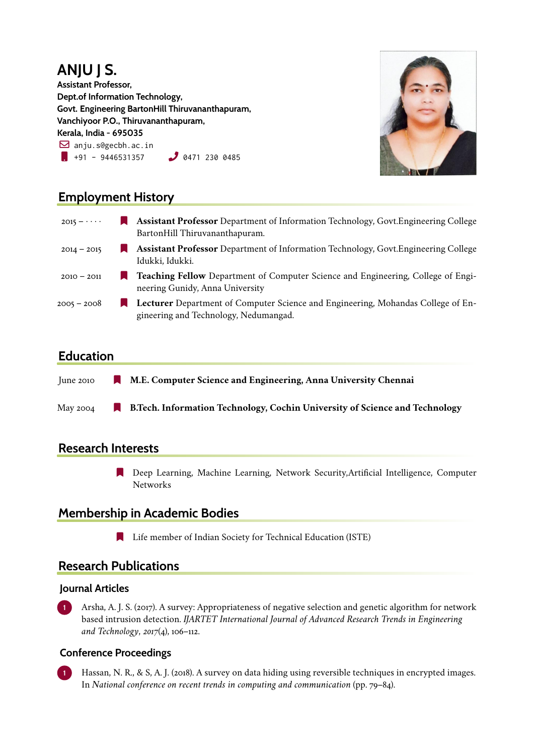### **ANJU J S. Assistant Professor, Dept.of Information Technology, Govt. Engineering BartonHill Thiruvananthapuram, Vanchiyoor P.O., Thiruvananthapuram, Kerala, India - 695035**  $\boxtimes$  anju.s@gecbh.ac.in  $\bullet$  +91 - 9446531357  $\bullet$  0471 230 0485



# **Employment History**

| $2015 - \cdots$ | <b>Assistant Professor</b> Department of Information Technology, Govt. Engineering College<br>BartonHill Thiruvananthapuram.     |
|-----------------|----------------------------------------------------------------------------------------------------------------------------------|
| $2014 - 2015$   | <b>Assistant Professor</b> Department of Information Technology, Govt. Engineering College<br>Idukki, Idukki.                    |
| $2010 - 2011$   | <b>Teaching Fellow</b> Department of Computer Science and Engineering, College of Engi-<br>neering Gunidy, Anna University       |
| $2005 - 2008$   | <b>Lecturer</b> Department of Computer Science and Engineering, Mohandas College of En-<br>gineering and Technology, Nedumangad. |

# **Education**

| $\frac{1}{2}$ and $\frac{1}{2}$ | <b>The Contract of the Contract of the Contract of the Contract of the Contract of the Contract of the Contract of the Contract of the Contract of the Contract of the Contract of the Contract of The Contract of The Contract </b> | M.E. Computer Science and Engineering, Anna University Chennai                      |
|---------------------------------|--------------------------------------------------------------------------------------------------------------------------------------------------------------------------------------------------------------------------------------|-------------------------------------------------------------------------------------|
| May 2004                        |                                                                                                                                                                                                                                      | <b>B. Tech. Information Technology, Cochin University of Science and Technology</b> |

## **Research Interests**

[ Deep Learning, Machine Learning, Network Security,Artificial Intelligence, Computer Networks

# **Membership in Academic Bodies**

**Example 1** Life member of Indian Society for Technical Education (ISTE)

## **Research Publications**

### **Journal Articles**

**1** Arsha, A. J. S. (2017). A survey: Appropriateness of negative selection and genetic algorithm for network based intrusion detection. *IJARTET International Journal of Advanced Research Trends in Engineering and Technology*, *2017*(4), 106–112.

### **Conference Proceedings**

**1** Hassan, N. R., & S, A. J. (2018). A survey on data hiding using reversible techniques in encrypted images. In *National conference on recent trends in computing and communication* (pp. 79–84).